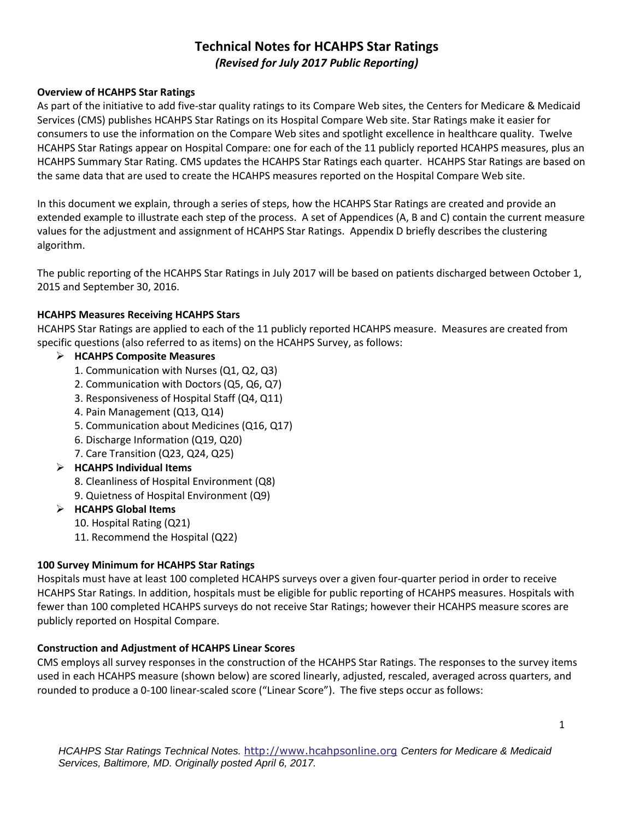# *(Revised for July 2017 Public Reporting)*  **Technical Notes for HCAHPS Star Ratings**

#### **Overview of HCAHPS Star Ratings**

 As part of the initiative to add five-star quality ratings to its Compare Web sites, the Centers for Medicare & Medicaid consumers to use the information on the Compare Web sites and spotlight excellence in healthcare quality. Twelve HCAHPS Star Ratings appear on Hospital Compare: one for each of the 11 publicly reported HCAHPS measures, plus an HCAHPS Summary Star Rating. CMS updates the HCAHPS Star Ratings each quarter. HCAHPS Star Ratings are based on Services (CMS) publishes HCAHPS Star Ratings on its Hospital Compare Web site. Star Ratings make it easier for the same data that are used to create the HCAHPS measures reported on the Hospital Compare Web site.

 extended example to illustrate each step of the process. A set of Appendices (A, B and C) contain the current measure algorithm. In this document we explain, through a series of steps, how the HCAHPS Star Ratings are created and provide an values for the adjustment and assignment of HCAHPS Star Ratings. Appendix D briefly describes the clustering

 The public reporting of the HCAHPS Star Ratings in July 2017 will be based on patients discharged between October 1, 2015 and September 30, 2016.

### **HCAHPS Measures Receiving HCAHPS Stars**

 HCAHPS Star Ratings are applied to each of the 11 publicly reported HCAHPS measure. Measures are created from specific questions (also referred to as items) on the HCAHPS Survey, as follows:

## **HCAHPS Composite Measures**

- 1. Communication with Nurses (Q1, Q2, Q3)
- 2. Communication with Doctors (Q5, Q6, Q7)
- 2. Communication with Doctors (Q5, Q6, Q7)<br>3. Responsiveness of Hospital Staff (Q4, Q11)<br>4. Pain Management (Q13, Q14)
- 
- 5. Communication about Medicines (Q16, Q17)
- 6. Discharge Information (Q19, Q20)
- 7. Care Transition (Q23, Q24, Q25)

## **HCAHPS Individual Items**

- 8. Cleanliness of Hospital Environment (Q8)
- 9. Quietness of Hospital Environment (Q9)

## **HCAHPS Global Items**

- 10. Hospital Rating (Q21)
- 11. Recommend the Hospital (Q22)

### **100 Survey Minimum for HCAHPS Star Ratings**

 Hospitals must have at least 100 completed HCAHPS surveys over a given four-quarter period in order to receive fewer than 100 completed HCAHPS surveys do not receive Star Ratings; however their HCAHPS measure scores are HCAHPS Star Ratings. In addition, hospitals must be eligible for public reporting of HCAHPS measures. Hospitals with publicly reported on Hospital Compare.

## **Construction and Adjustment of HCAHPS Linear Scores**

 CMS employs all survey responses in the construction of the HCAHPS Star Ratings. The responses to the survey items used in each HCAHPS measure (shown below) are scored linearly, adjusted, rescaled, averaged across quarters, and rounded to produce a 0-100 linear-scaled score ("Linear Score"). The five steps occur as follows: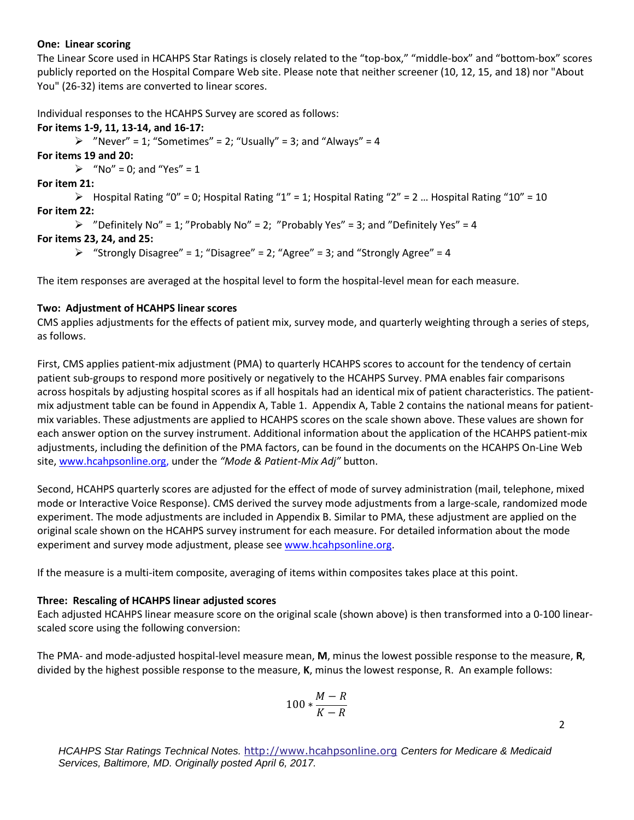#### **One: Linear scoring**

The Linear Score used in HCAHPS Star Ratings is closely related to the "top-box," "middle-box" and "bottom-box" scores publicly reported on the Hospital Compare Web site. Please note that neither screener (10, 12, 15, and 18) nor "About You" (26-32) items are converted to linear scores.

Individual responses to the HCAHPS Survey are scored as follows:

#### **For items 1-9, 11, 13-14, and 16-17:**

 $\triangleright$  "Never" = 1; "Sometimes" = 2; "Usually" = 3; and "Always" = 4

 **For items 19 and 20:** 

 $\triangleright$  "No" = 0; and "Yes" = 1

#### **For item 21:**

 $\triangleright$  Hospital Rating "0" = 0; Hospital Rating "1" = 1; Hospital Rating "2" = 2 ... Hospital Rating "10" = 10  **For item 22:** 

```
\triangleright "Definitely No" = 1; "Probably No" = 2; "Probably Yes" = 3; and "Definitely Yes" = 4
```
#### **For items 23, 24, and 25:**

 $\triangleright$  "Strongly Disagree" = 1; "Disagree" = 2; "Agree" = 3; and "Strongly Agree" = 4

The item responses are averaged at the hospital level to form the hospital-level mean for each measure.

#### **Two: Adjustment of HCAHPS linear scores**

as follows. CMS applies adjustments for the effects of patient mix, survey mode, and quarterly weighting through a series of steps,

 patient sub-groups to respond more positively or negatively to the HCAHPS Survey. PMA enables fair comparisons adjustments, including the definition of the PMA factors, can be found in the documents on the HCAHPS On-Line Web site, [www.hcahpsonline.org,](http://www.hcahpsonline.org/) under the *"Mode & Patient-Mix !dj"* button. First, CMS applies patient-mix adjustment (PMA) to quarterly HCAHPS scores to account for the tendency of certain across hospitals by adjusting hospital scores as if all hospitals had an identical mix of patient characteristics. The patientmix adjustment table can be found in Appendix A, Table 1. Appendix A, Table 2 contains the national means for patientmix variables. These adjustments are applied to HCAHPS scores on the scale shown above. These values are shown for each answer option on the survey instrument. Additional information about the application of the HCAHPS patient-mix

 Second, HCAHPS quarterly scores are adjusted for the effect of mode of survey administration (mail, telephone, mixed experiment and survey mode adjustment, please see [www.hcahpsonline.org.](http://www.hcahpsonline.org/) mode or Interactive Voice Response). CMS derived the survey mode adjustments from a large-scale, randomized mode experiment. The mode adjustments are included in Appendix B. Similar to PMA, these adjustment are applied on the original scale shown on the HCAHPS survey instrument for each measure. For detailed information about the mode

If the measure is a multi-item composite, averaging of items within composites takes place at this point.

#### **Three: Rescaling of HCAHPS linear adjusted scores**

 Each adjusted HCAHPS linear measure score on the original scale (shown above) is then transformed into a 0-100 linearscaled score using the following conversion:

 The PMA- and mode-adjusted hospital-level measure mean, **M**, minus the lowest possible response to the measure, **R**, divided by the highest possible response to the measure, **K**, minus the lowest response, R. An example follows:

$$
100*\frac{M-R}{K-R}
$$

*HCAHPS Star Ratings Technical Notes.* [http://www.hcahpsonline.org](http://www.hcahpsonline.org/) *Centers for Medicare & Medicaid Services, Baltimore, MD. Originally posted April 6, 2017.*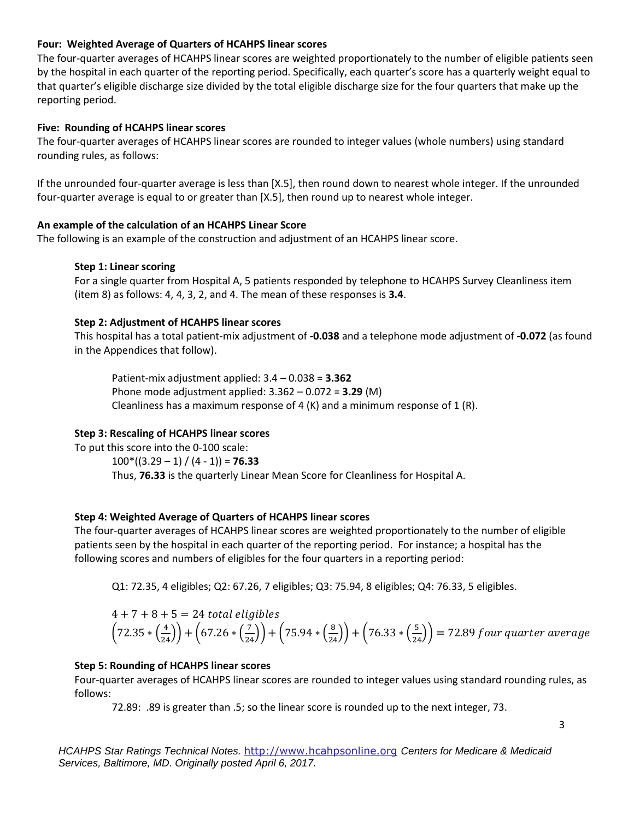#### **Four: Weighted Average of Quarters of HCAHPS linear scores**

The four-quarter averages of HCAHPS linear scores are weighted proportionately to the number of eligible patients seen by the hospital in each quarter of the reporting period. Specifically, each quarter's score has a quarterly weight equal to that quarter's eligible discharge size divided by the total eligible discharge size for the four quarters that make up the reporting period.

#### **Five: Rounding of HCAHPS linear scores**

The four-quarter averages of HCAHPS linear scores are rounded to integer values (whole numbers) using standard<br>rounding rules, as follows: rounding rules, as follows:

If the unrounded four-quarter average is less than [X.5], then round down to nearest whole integer. If the unrounded four-quarter average is equal to or greater than [X.5], then round up to nearest whole integer.

#### **An example of the calculation of an HCAHPS Linear Score**

The following is an example of the construction and adjustment of an HCAHPS linear score.

#### **Step 1: Linear scoring**

 (item 8) as follows: 4, 4, 3, 2, and 4. The mean of these responses is **3.4**. For a single quarter from Hospital A, 5 patients responded by telephone to HCAHPS Survey Cleanliness item

#### **Step 2: Adjustment of HCAHPS linear scores**

 This hospital has a total patient-mix adjustment of **-0.038** and a telephone mode adjustment of **-0.072** (as found in the Appendices that follow).

 Patient-mix adjustment applied: 3.4 – 0.038 = **3.362** Phone mode adjustment applied: 3.362 – 0.072 = **3.29** (M) Cleanliness has a maximum response of 4  $(K)$  and a minimum response of 1  $(R)$ .

## **Step 3: Rescaling of HCAHPS linear scores**

 To put this score into the 0-100 scale: 100\*((3.29 – 1) / (4 - 1)) = **76.33** Thus, **76.33** is the quarterly Linear Mean Score for Cleanliness for Hospital A.

#### **Step 4: Weighted Average of Quarters of HCAHPS linear scores**

 The four-quarter averages of HCAHPS linear scores are weighted proportionately to the number of eligible patients seen by the hospital in each quarter of the reporting period. For instance; a hospital has the following scores and numbers of eligibles for the four quarters in a reporting period:

following scores and numbers of eligibles for the four quarters in a reporting period:<br>Q1: 72.35, 4 eligibles; Q2: 67.26, 7 eligibles; Q3: 75.94, 8 eligibles; Q4: 76.33, 5 eligibles.

$$
4 + 7 + 8 + 5 = 24
$$
 total eligibles  
\n $(72.35 * (\frac{4}{24})) + (67.26 * (\frac{7}{24})) + (75.94 * (\frac{8}{24})) + (76.33 * (\frac{5}{24})) = 72.89$  four quarter average

#### **Step 5: Rounding of HCAHPS linear scores**

Four-quarter averages of HCAHPS linear scores are rounded to integer values using standard rounding rules, as follows:

72.89: .89 is greater than .5; so the linear score is rounded up to the next integer, 73.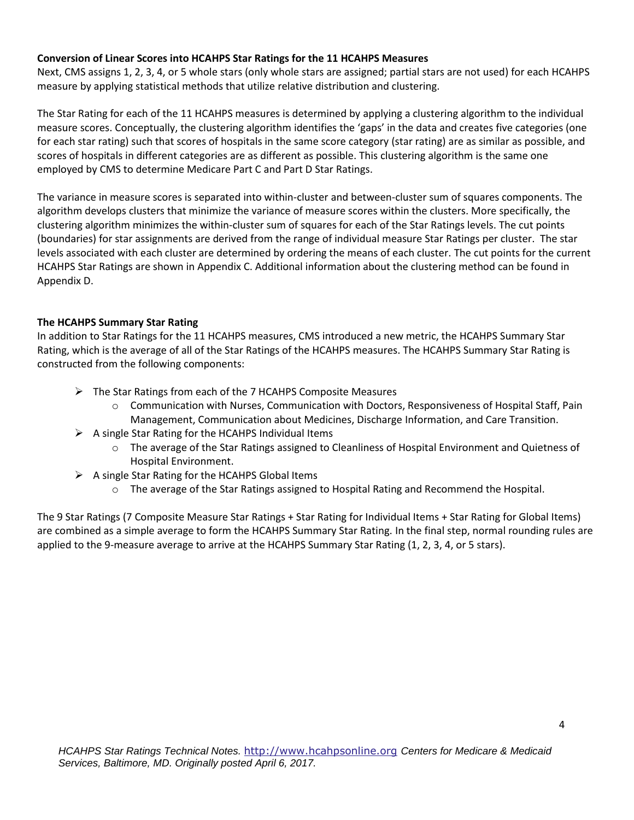#### **Conversion of Linear Scores into HCAHPS Star Ratings for the 11 HCAHPS Measures**

 Next, CMS assigns 1, 2, 3, 4, or 5 whole stars (only whole stars are assigned; partial stars are not used) for each HCAHPS measure by applying statistical methods that utilize relative distribution and clustering.

 The Star Rating for each of the 11 HCAHPS measures is determined by applying a clustering algorithm to the individual for each star rating) such that scores of hospitals in the same score category (star rating) are as similar as possible, and measure scores. Conceptually, the clustering algorithm identifies the 'gaps' in the data and creates five categories (one scores of hospitals in different categories are as different as possible. This clustering algorithm is the same one employed by CMS to determine Medicare Part C and Part D Star Ratings.

 clustering algorithm minimizes the within-cluster sum of squares for each of the Star Ratings levels. The cut points HCAHPS Star Ratings are shown in Appendix C. Additional information about the clustering method can be found in Appendix D. The variance in measure scores is separated into within-cluster and between-cluster sum of squares components. The algorithm develops clusters that minimize the variance of measure scores within the clusters. More specifically, the (boundaries) for star assignments are derived from the range of individual measure Star Ratings per cluster. The star levels associated with each cluster are determined by ordering the means of each cluster. The cut points for the current

## **The HCAHPS Summary Star Rating**

 In addition to Star Ratings for the 11 HCAHPS measures, CMS introduced a new metric, the HCAHPS Summary Star Rating, which is the average of all of the Star Ratings of the HCAHPS measures. The HCAHPS Summary Star Rating is constructed from the following components:

- $\triangleright$  The Star Ratings from each of the 7 HCAHPS Composite Measures
	- $\circ$  Communication with Nurses, Communication with Doctors, Responsiveness of Hospital Staff, Pain Management, Communication about Medicines, Discharge Information, and Care Transition.
- $\triangleright$  A single Star Rating for the HCAHPS Individual Items
	- $\circ$  The average of the Star Ratings assigned to Cleanliness of Hospital Environment and Quietness of Hospital Environment.
- $\triangleright$  A single Star Rating for the HCAHPS Global Items
	- o The average of the Star Ratings assigned to Hospital Rating and Recommend the Hospital.

 The 9 Star Ratings (7 Composite Measure Star Ratings + Star Rating for Individual Items + Star Rating for Global Items) are combined as a simple average to form the HCAHPS Summary Star Rating. In the final step, normal rounding rules are applied to the 9-measure average to arrive at the HCAHPS Summary Star Rating (1, 2, 3, 4, or 5 stars).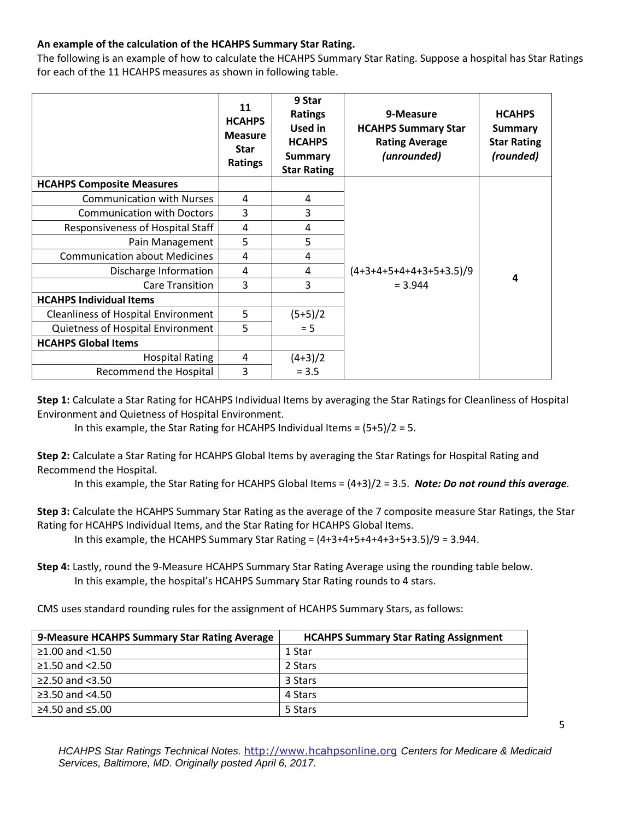## **An example of the calculation of the HCAHPS Summary Star Rating.**

The following is an example of how to calculate the HCAHPS Summary Star Rating. Suppose a hospital has Star Ratings for each of the 11 HCAHPS measures as shown in following table.

|                                            | 11<br><b>HCAHPS</b><br><b>Measure</b><br><b>Star</b><br>Ratings | 9 Star<br><b>Ratings</b><br>Used in<br><b>HCAHPS</b><br><b>Summary</b><br><b>Star Rating</b> | 9-Measure<br><b>HCAHPS Summary Star</b><br><b>Rating Average</b><br>(unrounded) | <b>HCAHPS</b><br><b>Summary</b><br><b>Star Rating</b><br>(rounded) |
|--------------------------------------------|-----------------------------------------------------------------|----------------------------------------------------------------------------------------------|---------------------------------------------------------------------------------|--------------------------------------------------------------------|
| <b>HCAHPS Composite Measures</b>           |                                                                 |                                                                                              |                                                                                 |                                                                    |
| <b>Communication with Nurses</b>           | 4                                                               | 4                                                                                            |                                                                                 |                                                                    |
| <b>Communication with Doctors</b>          | 3                                                               | 3                                                                                            |                                                                                 |                                                                    |
| Responsiveness of Hospital Staff           | 4                                                               | 4                                                                                            |                                                                                 |                                                                    |
| Pain Management                            | 5                                                               | 5                                                                                            |                                                                                 |                                                                    |
| <b>Communication about Medicines</b>       | 4                                                               | 4                                                                                            |                                                                                 |                                                                    |
| Discharge Information                      | 4                                                               | 4                                                                                            | $(4+3+4+5+4+4+3+5+3.5)/9$                                                       | 4                                                                  |
| <b>Care Transition</b>                     | 3                                                               | 3                                                                                            | $= 3.944$                                                                       |                                                                    |
| <b>HCAHPS Individual Items</b>             |                                                                 |                                                                                              |                                                                                 |                                                                    |
| <b>Cleanliness of Hospital Environment</b> | 5                                                               | $(5+5)/2$                                                                                    |                                                                                 |                                                                    |
| Quietness of Hospital Environment          | 5                                                               | $= 5$                                                                                        |                                                                                 |                                                                    |
| <b>HCAHPS Global Items</b>                 |                                                                 |                                                                                              |                                                                                 |                                                                    |
| <b>Hospital Rating</b>                     | 4                                                               | $(4+3)/2$                                                                                    |                                                                                 |                                                                    |
| Recommend the Hospital                     | 3                                                               | $= 3.5$                                                                                      |                                                                                 |                                                                    |

**Step 1:** Calculate a Star Rating for HCAHPS Individual Items by averaging the Star Ratings for Cleanliness of Hospital Environment and Quietness of Hospital Environment.

In this example, the Star Rating for HCAHPS Individual Items = (5+5)/2 = 5.

**Step 2:** Calculate a Star Rating for HCAHPS Global Items by averaging the Star Ratings for Hospital Rating and Recommend the Hospital.

In this example, the Star Rating for HCAHPS Global Items = (4+3)/2 = 3.5. *Note: Do not round this average.* 

 **Step 3:** Calculate the HCAHPS Summary Star Rating as the average of the 7 composite measure Star Ratings, the Star Rating for HCAHPS Individual Items, and the Star Rating for HCAHPS Global Items.

In this example, the HCAHPS Summary Star Rating = (4+3+4+5+4+4+3+5+3.5)/9 = 3.944.

In this example, the hospital's HCAHPS Summary Star Rating rounds to 4 stars. **Step 4:** Lastly, round the 9-Measure HCAHPS Summary Star Rating Average using the rounding table below.

CMS uses standard rounding rules for the assignment of HCAHPS Summary Stars, as follows:

| 9-Measure HCAHPS Summary Star Rating Average | <b>HCAHPS Summary Star Rating Assignment</b> |
|----------------------------------------------|----------------------------------------------|
| $≥1.00$ and <1.50                            | 1 Star                                       |
| ≥1.50 and $<$ 2.50                           | 2 Stars                                      |
| $\geq$ 2.50 and <3.50                        | 3 Stars                                      |
| $\geq$ 3.50 and <4.50                        | 4 Stars                                      |
| ≥4.50 and ≤5.00                              | 5 Stars                                      |

*HCAHPS Star Ratings Technical Notes.* [http://www.hcahpsonline.org](http://www.hcahpsonline.org/) *Centers for Medicare & Medicaid Services, Baltimore, MD. Originally posted April 6, 2017.*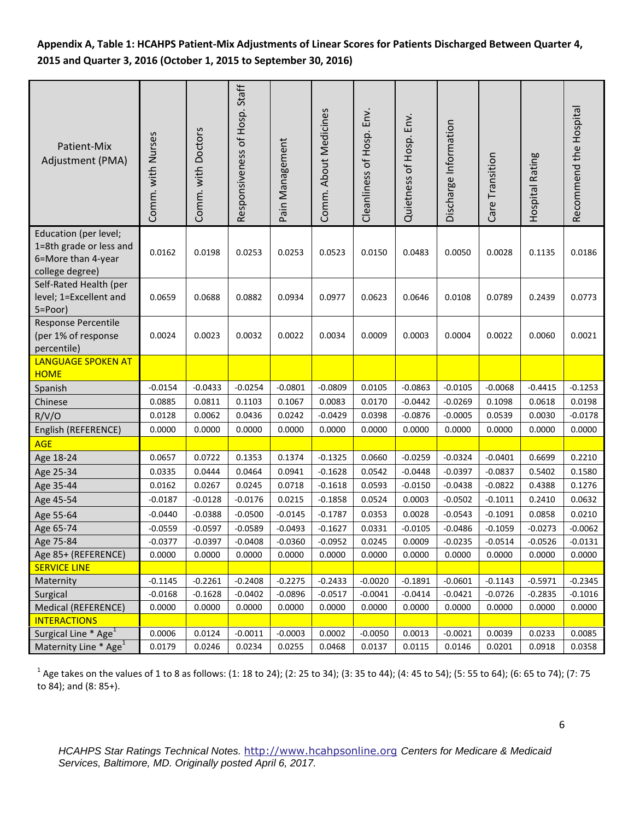## **Appendix A, Table 1: HCAHPS Patient-Mix Adjustments of Linear Scores for Patients Discharged Between Quarter 4, 2015 and Quarter 3, 2016 (October 1, 2015 to September 30, 2016)**

| Patient-Mix<br>Adjustment (PMA)                                                           | Comm. with Nurses | Comm. with Doctors | Responsiveness of Hosp. Staff | Pain Management | Comm. About Medicines | Cleanliness of Hosp. Env. | Quietness of Hosp. Env. | Discharge Information | Care Transition | Hospital Rating | Recommend the Hospital |
|-------------------------------------------------------------------------------------------|-------------------|--------------------|-------------------------------|-----------------|-----------------------|---------------------------|-------------------------|-----------------------|-----------------|-----------------|------------------------|
| Education (per level;<br>1=8th grade or less and<br>6=More than 4-year<br>college degree) | 0.0162            | 0.0198             | 0.0253                        | 0.0253          | 0.0523                | 0.0150                    | 0.0483                  | 0.0050                | 0.0028          | 0.1135          | 0.0186                 |
| Self-Rated Health (per<br>level; 1=Excellent and<br>5=Poor)                               | 0.0659            | 0.0688             | 0.0882                        | 0.0934          | 0.0977                | 0.0623                    | 0.0646                  | 0.0108                | 0.0789          | 0.2439          | 0.0773                 |
| Response Percentile<br>(per 1% of response<br>percentile)                                 | 0.0024            | 0.0023             | 0.0032                        | 0.0022          | 0.0034                | 0.0009                    | 0.0003                  | 0.0004                | 0.0022          | 0.0060          | 0.0021                 |
| <b>LANGUAGE SPOKEN AT</b><br><b>HOME</b>                                                  |                   |                    |                               |                 |                       |                           |                         |                       |                 |                 |                        |
| Spanish                                                                                   | $-0.0154$         | $-0.0433$          | $-0.0254$                     | $-0.0801$       | $-0.0809$             | 0.0105                    | $-0.0863$               | $-0.0105$             | $-0.0068$       | $-0.4415$       | $-0.1253$              |
| Chinese                                                                                   | 0.0885            | 0.0811             | 0.1103                        | 0.1067          | 0.0083                | 0.0170                    | $-0.0442$               | $-0.0269$             | 0.1098          | 0.0618          | 0.0198                 |
| R/V/O                                                                                     | 0.0128            | 0.0062             | 0.0436                        | 0.0242          | $-0.0429$             | 0.0398                    | $-0.0876$               | $-0.0005$             | 0.0539          | 0.0030          | $-0.0178$              |
| English (REFERENCE)                                                                       | 0.0000            | 0.0000             | 0.0000                        | 0.0000          | 0.0000                | 0.0000                    | 0.0000                  | 0.0000                | 0.0000          | 0.0000          | 0.0000                 |
| <b>AGE</b>                                                                                |                   |                    |                               |                 |                       |                           |                         |                       |                 |                 |                        |
| Age 18-24                                                                                 | 0.0657            | 0.0722             | 0.1353                        | 0.1374          | $-0.1325$             | 0.0660                    | $-0.0259$               | $-0.0324$             | $-0.0401$       | 0.6699          | 0.2210                 |
| Age 25-34                                                                                 | 0.0335            | 0.0444             | 0.0464                        | 0.0941          | $-0.1628$             | 0.0542                    | $-0.0448$               | $-0.0397$             | $-0.0837$       | 0.5402          | 0.1580                 |
| Age 35-44                                                                                 | 0.0162            | 0.0267             | 0.0245                        | 0.0718          | $-0.1618$             | 0.0593                    | $-0.0150$               | $-0.0438$             | $-0.0822$       | 0.4388          | 0.1276                 |
| Age 45-54                                                                                 | $-0.0187$         | $-0.0128$          | $-0.0176$                     | 0.0215          | $-0.1858$             | 0.0524                    | 0.0003                  | $-0.0502$             | $-0.1011$       | 0.2410          | 0.0632                 |
| Age 55-64                                                                                 | $-0.0440$         | $-0.0388$          | $-0.0500$                     | $-0.0145$       | $-0.1787$             | 0.0353                    | 0.0028                  | $-0.0543$             | $-0.1091$       | 0.0858          | 0.0210                 |
| Age 65-74                                                                                 | $-0.0559$         | $-0.0597$          | $-0.0589$                     | $-0.0493$       | $-0.1627$             | 0.0331                    | $-0.0105$               | $-0.0486$             | $-0.1059$       | $-0.0273$       | $-0.0062$              |
| Age 75-84                                                                                 | $-0.0377$         | $-0.0397$          | $-0.0408$                     | $-0.0360$       | $-0.0952$             | 0.0245                    | 0.0009                  | $-0.0235$             | $-0.0514$       | $-0.0526$       | $-0.0131$              |
| Age 85+ (REFERENCE)                                                                       | 0.0000            | 0.0000             | 0.0000                        | 0.0000          | 0.0000                | 0.0000                    | 0.0000                  | 0.0000                | 0.0000          | 0.0000          | 0.0000                 |
| <b>SERVICE LINE</b>                                                                       |                   |                    |                               |                 |                       |                           |                         |                       |                 |                 |                        |
| Maternity                                                                                 | $-0.1145$         | $-0.2261$          | $-0.2408$                     | $-0.2275$       | $-0.2433$             | $-0.0020$                 | $-0.1891$               | $-0.0601$             | $-0.1143$       | $-0.5971$       | $-0.2345$              |
| Surgical                                                                                  | $-0.0168$         | $-0.1628$          | $-0.0402$                     | $-0.0896$       | $-0.0517$             | $-0.0041$                 | $-0.0414$               | $-0.0421$             | $-0.0726$       | $-0.2835$       | $-0.1016$              |
| Medical (REFERENCE)                                                                       | 0.0000            | 0.0000             | 0.0000                        | 0.0000          | 0.0000                | 0.0000                    | 0.0000                  | 0.0000                | 0.0000          | 0.0000          | 0.0000                 |
| <b>INTERACTIONS</b>                                                                       |                   |                    |                               |                 |                       |                           |                         |                       |                 |                 |                        |
| Surgical Line * Age <sup>1</sup>                                                          | 0.0006            | 0.0124             | $-0.0011$                     | $-0.0003$       | 0.0002                | $-0.0050$                 | 0.0013                  | $-0.0021$             | 0.0039          | 0.0233          | 0.0085                 |
| Maternity Line * Age <sup>1</sup>                                                         | 0.0179            | 0.0246             | 0.0234                        | 0.0255          | 0.0468                | 0.0137                    | 0.0115                  | 0.0146                | 0.0201          | 0.0918          | 0.0358                 |

 $1$  Age takes on the values of 1 to 8 as follows: (1: 18 to 24); (2: 25 to 34); (3: 35 to 44); (4: 45 to 54); (5: 55 to 64); (6: 65 to 74); (7: 75 to 84); and (8: 85+).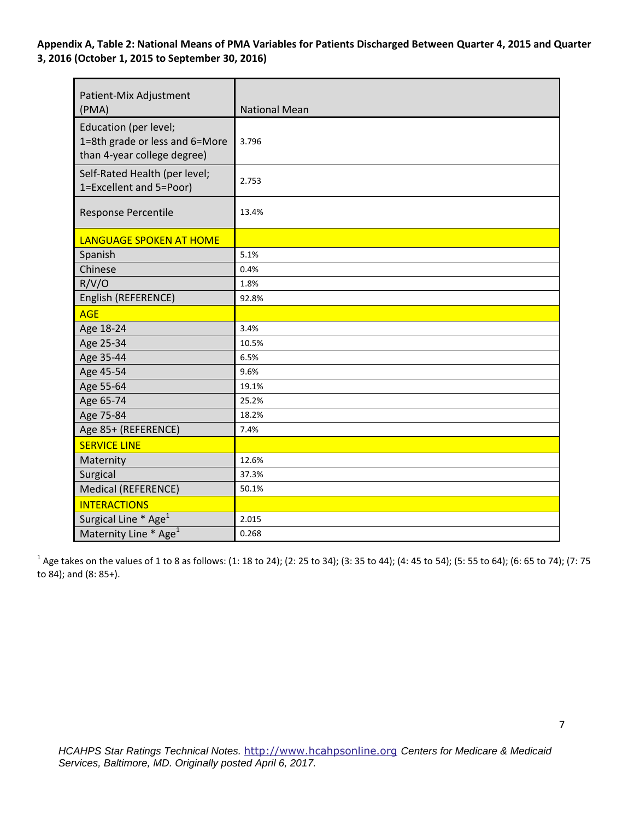**Appendix A, Table 2: National Means of PMA Variables for Patients Discharged Between Quarter 4, 2015 and Quarter 3, 2016 (October 1, 2015 to September 30, 2016)** 

| Patient-Mix Adjustment<br>(PMA)                                                        | <b>National Mean</b> |
|----------------------------------------------------------------------------------------|----------------------|
| Education (per level;<br>1=8th grade or less and 6=More<br>than 4-year college degree) | 3.796                |
| Self-Rated Health (per level;<br>1=Excellent and 5=Poor)                               | 2.753                |
| Response Percentile                                                                    | 13.4%                |
| <b>LANGUAGE SPOKEN AT HOME</b>                                                         |                      |
| Spanish                                                                                | 5.1%                 |
| Chinese                                                                                | 0.4%                 |
| R/V/O                                                                                  | 1.8%                 |
| English (REFERENCE)                                                                    | 92.8%                |
| <b>AGE</b>                                                                             |                      |
| Age 18-24                                                                              | 3.4%                 |
| Age 25-34                                                                              | 10.5%                |
| Age 35-44                                                                              | 6.5%                 |
| Age 45-54                                                                              | 9.6%                 |
| Age 55-64                                                                              | 19.1%                |
| Age 65-74                                                                              | 25.2%                |
| Age 75-84                                                                              | 18.2%                |
| Age 85+ (REFERENCE)                                                                    | 7.4%                 |
| <b>SERVICE LINE</b>                                                                    |                      |
| Maternity                                                                              | 12.6%                |
| Surgical                                                                               | 37.3%                |
| <b>Medical (REFERENCE)</b>                                                             | 50.1%                |
| <b>INTERACTIONS</b>                                                                    |                      |
| Surgical Line * Age <sup>1</sup>                                                       | 2.015                |
| Maternity Line * Age <sup>1</sup>                                                      | 0.268                |

 $1$  Age takes on the values of 1 to 8 as follows: (1: 18 to 24); (2: 25 to 34); (3: 35 to 44); (4: 45 to 54); (5: 55 to 64); (6: 65 to 74); (7: 75 to 84); and (8: 85+).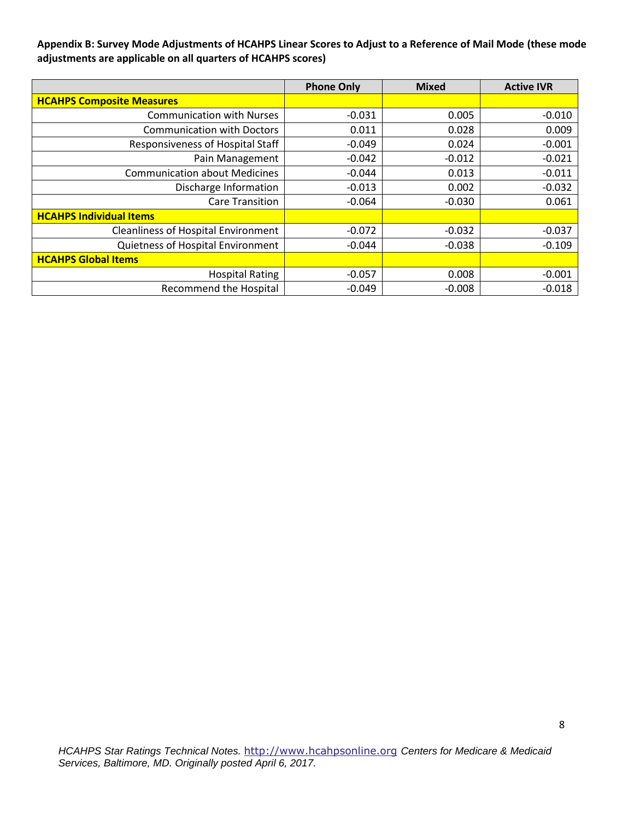**Appendix B: Survey Mode Adjustments of HCAHPS Linear Scores to Adjust to a Reference of Mail Mode (these mode adjustments are applicable on all quarters of HCAHPS scores)** 

|                                            | <b>Phone Only</b> | <b>Mixed</b> | <b>Active IVR</b> |
|--------------------------------------------|-------------------|--------------|-------------------|
| <b>HCAHPS Composite Measures</b>           |                   |              |                   |
| <b>Communication with Nurses</b>           | $-0.031$          | 0.005        | $-0.010$          |
| <b>Communication with Doctors</b>          | 0.011             | 0.028        | 0.009             |
| <b>Responsiveness of Hospital Staff</b>    | $-0.049$          | 0.024        | $-0.001$          |
| Pain Management                            | $-0.042$          | $-0.012$     | $-0.021$          |
| <b>Communication about Medicines</b>       | $-0.044$          | 0.013        | $-0.011$          |
| Discharge Information                      | $-0.013$          | 0.002        | $-0.032$          |
| Care Transition                            | $-0.064$          | $-0.030$     | 0.061             |
| <b>HCAHPS Individual Items</b>             |                   |              |                   |
| <b>Cleanliness of Hospital Environment</b> | $-0.072$          | $-0.032$     | $-0.037$          |
| Quietness of Hospital Environment          | $-0.044$          | $-0.038$     | $-0.109$          |
| <b>HCAHPS Global Items</b>                 |                   |              |                   |
| <b>Hospital Rating</b>                     | $-0.057$          | 0.008        | $-0.001$          |
| <b>Recommend the Hospital</b>              | $-0.049$          | $-0.008$     | $-0.018$          |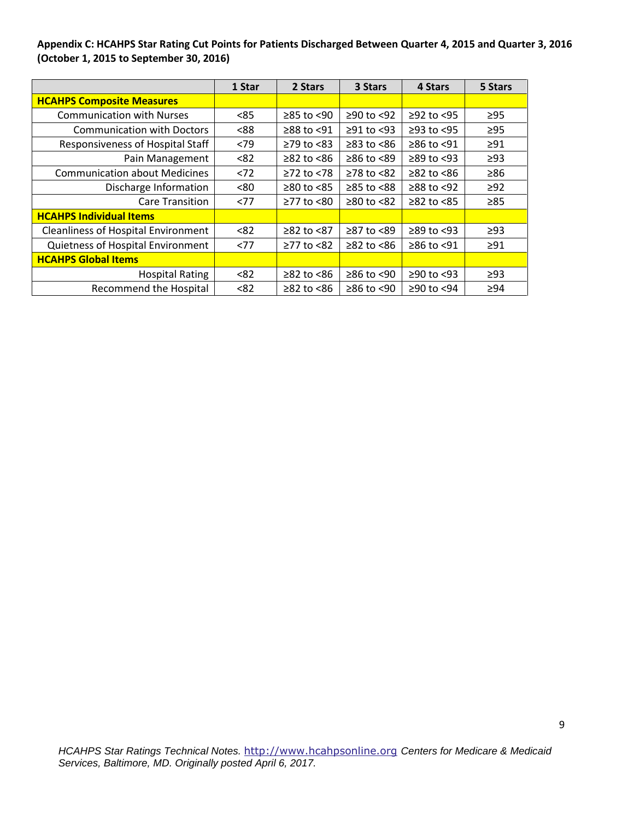### **Appendix C: HCAHPS Star Rating Cut Points for Patients Discharged Between Quarter 4, 2015 and Quarter 3, 2016 (October 1, 2015 to September 30, 2016)**

|                                            | 1 Star | 2 Stars          | 3 Stars          | 4 Stars          | 5 Stars   |
|--------------------------------------------|--------|------------------|------------------|------------------|-----------|
| <b>HCAHPS Composite Measures</b>           |        |                  |                  |                  |           |
| <b>Communication with Nurses</b>           | < 85   | $≥85$ to $≤90$   | ≥90 to <92       | $≥92$ to <95     | $\geq$ 95 |
| <b>Communication with Doctors</b>          | < 88   | $≥88$ to <91     | $≥91$ to <93     | $≥93$ to <95     | $\geq$ 95 |
| Responsiveness of Hospital Staff           | < 79   | $\geq$ 79 to <83 | $\geq$ 83 to <86 | $≥86$ to <91     | $\geq$ 91 |
| Pain Management                            | < 82   | $≥82$ to $≤86$   | $≥86$ to <89     | $\geq$ 89 to <93 | $\geq$ 93 |
| <b>Communication about Medicines</b>       | < 72   | $≥72$ to $≤78$   | $≥78$ to $≤82$   | $≥82$ to $≤86$   | $\geq 86$ |
| Discharge Information                      | <80    | $≥80$ to $≤85$   | $≥85$ to < $88$  | $≥88$ to $≤92$   | $\geq$ 92 |
| <b>Care Transition</b>                     | < 77   | $\geq$ 77 to <80 | $≥80$ to <82     | $≥82$ to $<85$   | $\geq 85$ |
| <b>HCAHPS Individual Items</b>             |        |                  |                  |                  |           |
| <b>Cleanliness of Hospital Environment</b> | < 82   | $≥82$ to $≤87$   | ≥87 to <89       | $\geq$ 89 to <93 | $\geq$ 93 |
| Quietness of Hospital Environment          | <77    | ≥77 to <82       | $\geq$ 82 to <86 | $≥86$ to <91     | $\geq$ 91 |
| <b>HCAHPS Global Items</b>                 |        |                  |                  |                  |           |
| <b>Hospital Rating</b>                     | < 82   | $\geq$ 82 to <86 | $≥86$ to <90     | $≥90$ to <93     | $\geq$ 93 |
| <b>Recommend the Hospital</b>              | < 82   | $≥82$ to $≤86$   | ≥86 to <90       | ≥90 to <94       | $\geq 94$ |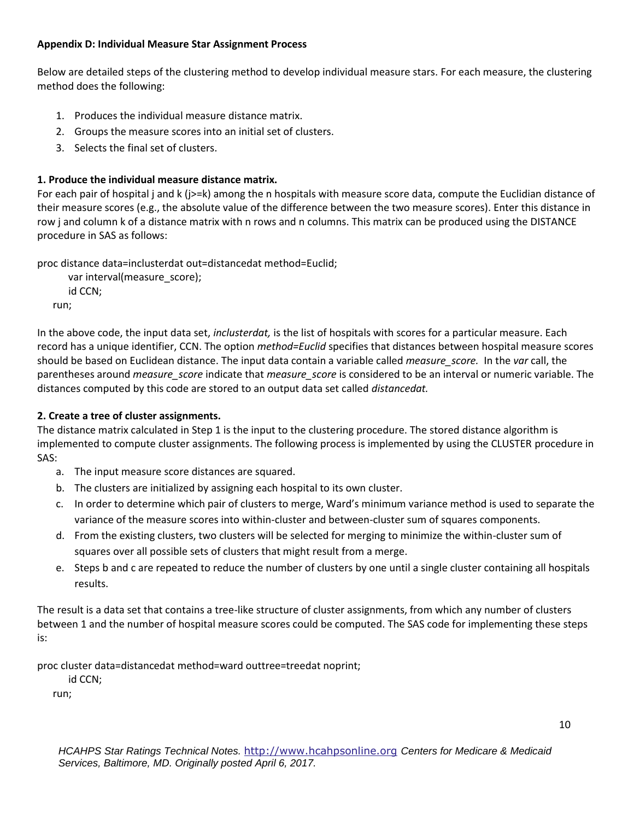### **Appendix D: Individual Measure Star Assignment Process**

Below are detailed steps of the clustering method to develop individual measure stars. For each measure, the clustering method does the following:

- 1. Produces the individual measure distance matrix.
- 2. Groups the measure scores into an initial set of clusters.
- 3. Selects the final set of clusters.

## **1. Produce the individual measure distance matrix.**

For each pair of hospital j and k (j>=k) among the n hospitals with measure score data, compute the Euclidian distance of their measure scores (e.g., the absolute value of the difference between the two measure scores). Enter this distance in row j and column k of a distance matrix with n rows and n columns. This matrix can be produced using the DISTANCE procedure in SAS as follows:

proc distance data=inclusterdat out=distancedat method=Euclid; var interval(measure\_score);

id CCN; run;

 record has a unique identifier, CCN. The option *method=Euclid* specifies that distances between hospital measure scores should be based on Euclidean distance. The input data contain a variable called *measure\_score.* In the *var* call, the parentheses around *measure\_score* indicate that *measure\_score* is considered to be an interval or numeric variable. The In the above code, the input data set, *inclusterdat,* is the list of hospitals with scores for a particular measure. Each distances computed by this code are stored to an output data set called *distancedat.* 

## **2. Create a tree of cluster assignments.**

The distance matrix calculated in Step 1 is the input to the clustering procedure. The stored distance algorithm is implemented to compute cluster assignments. The following process is implemented by using the CLUSTER procedure in SAS:

- a. The input measure score distances are squared.
- b. The clusters are initialized by assigning each hospital to its own cluster.
- c. In order to determine which pair of clusters to merge, Ward's minimum variance method is used to separate the variance of the measure scores into within-cluster and between-cluster sum of squares components.
- d. From the existing clusters, two clusters will be selected for merging to minimize the within-cluster sum of squares over all possible sets of clusters that might result from a merge.
- e. Steps b and c are repeated to reduce the number of clusters by one until a single cluster containing all hospitals results.

The result is a data set that contains a tree-like structure of cluster assignments, from which any number of clusters between 1 and the number of hospital measure scores could be computed. The SAS code for implementing these steps is:

proc cluster data=distancedat method=ward outtree=treedat noprint;

id CCN;

run;